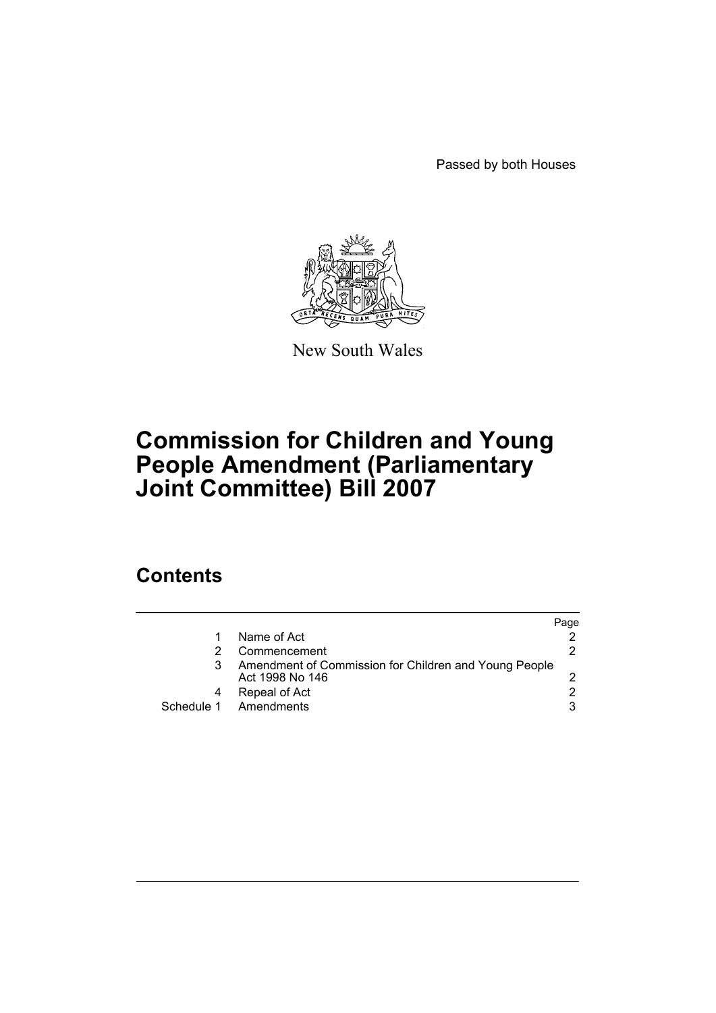Passed by both Houses



New South Wales

# **Commission for Children and Young People Amendment (Parliamentary Joint Committee) Bill 2007**

### **Contents**

|                                                                          | Page |
|--------------------------------------------------------------------------|------|
| Name of Act                                                              |      |
| Commencement                                                             |      |
| Amendment of Commission for Children and Young People<br>Act 1998 No 146 |      |
| Repeal of Act                                                            |      |
| Schedule 1 Amendments                                                    | 3    |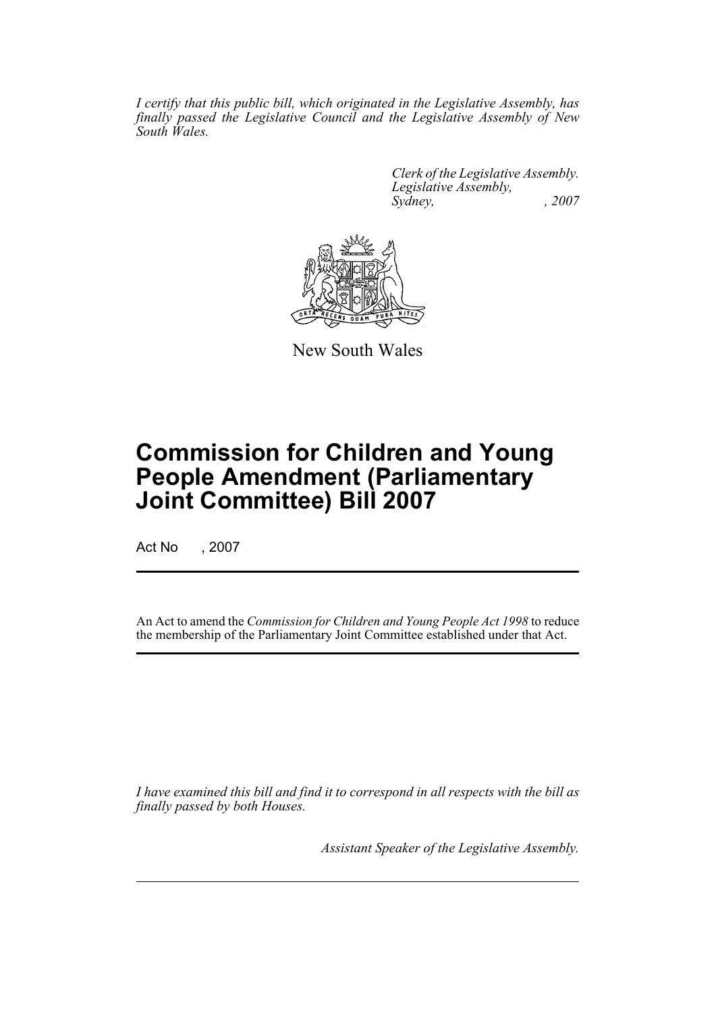*I certify that this public bill, which originated in the Legislative Assembly, has finally passed the Legislative Council and the Legislative Assembly of New South Wales.*

> *Clerk of the Legislative Assembly. Legislative Assembly, Sydney, , 2007*



New South Wales

## **Commission for Children and Young People Amendment (Parliamentary Joint Committee) Bill 2007**

Act No , 2007

An Act to amend the *Commission for Children and Young People Act 1998* to reduce the membership of the Parliamentary Joint Committee established under that Act.

*I have examined this bill and find it to correspond in all respects with the bill as finally passed by both Houses.*

*Assistant Speaker of the Legislative Assembly.*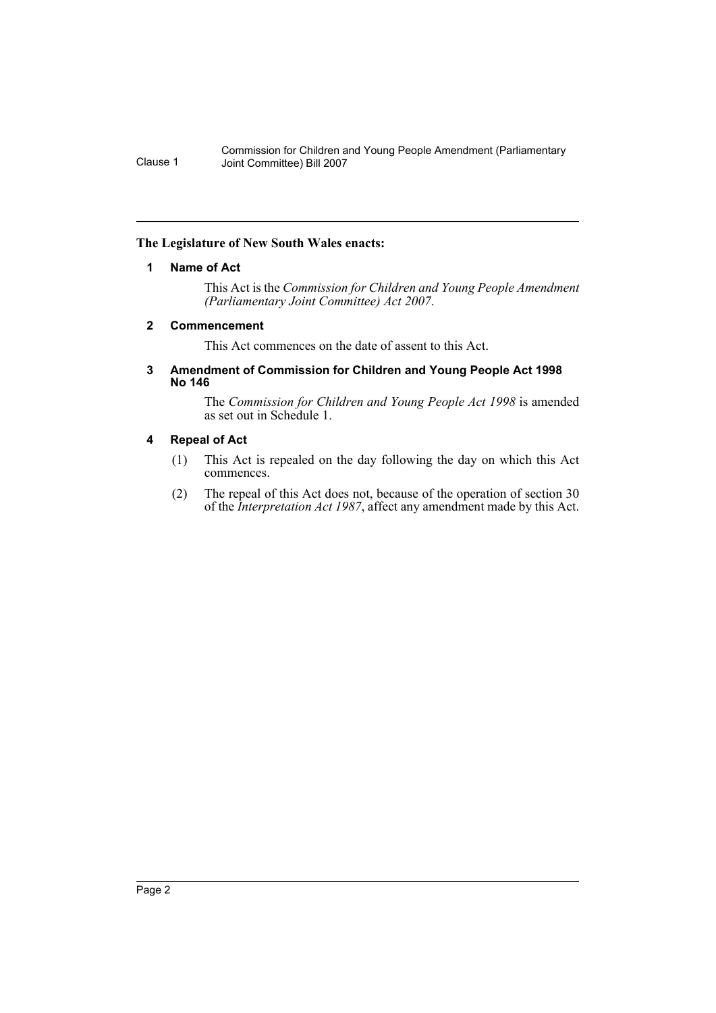Commission for Children and Young People Amendment (Parliamentary Clause 1 Joint Committee) Bill 2007

#### <span id="page-2-0"></span>**The Legislature of New South Wales enacts:**

#### **1 Name of Act**

This Act is the *Commission for Children and Young People Amendment (Parliamentary Joint Committee) Act 2007*.

#### <span id="page-2-1"></span>**2 Commencement**

This Act commences on the date of assent to this Act.

#### <span id="page-2-2"></span>**3 Amendment of Commission for Children and Young People Act 1998 No 146**

The *Commission for Children and Young People Act 1998* is amended as set out in Schedule 1.

#### <span id="page-2-3"></span>**4 Repeal of Act**

- (1) This Act is repealed on the day following the day on which this Act commences.
- (2) The repeal of this Act does not, because of the operation of section 30 of the *Interpretation Act 1987*, affect any amendment made by this Act.